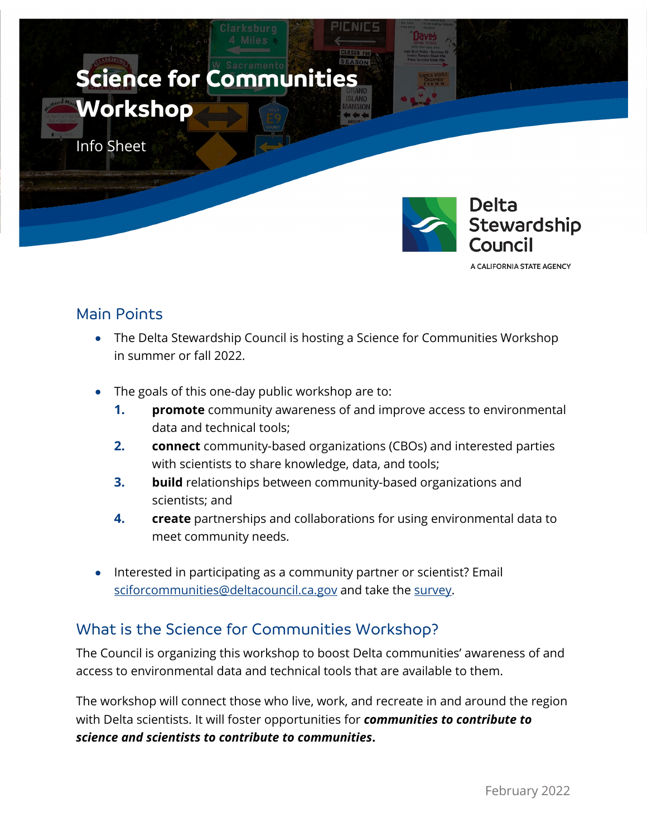

A CALIFORNIA STATE AGENCY

# Main Points

- The Delta Stewardship Council is hosting a Science for Communities Workshop in summer or fall 2022.
- The goals of this one-day public workshop are to:
	- **1. promote** community awareness of and improve access to environmental data and technical tools;
	- **2. connect** community-based organizations (CBOs) and interested parties with scientists to share knowledge, data, and tools;
	- **3. build** relationships between community-based organizations and scientists; and
	- **4. create** partnerships and collaborations for using environmental data to meet community needs.
- Interested in participating as a community partner or scientist? Email [sciforcommunities@deltacouncil.ca.gov](mailto:sciforcommunities@deltacouncil.ca.gov) and take the [survey.](https://www.surveymonkey.com/r/K3M2FM5)

# What is the Science for Communities Workshop?

The Council is organizing this workshop to boost Delta communities' awareness of and access to environmental data and technical tools that are available to them.

The workshop will connect those who live, work, and recreate in and around the region with Delta scientists. It will foster opportunities for *communities to contribute to science and scientists to contribute to communities***.**